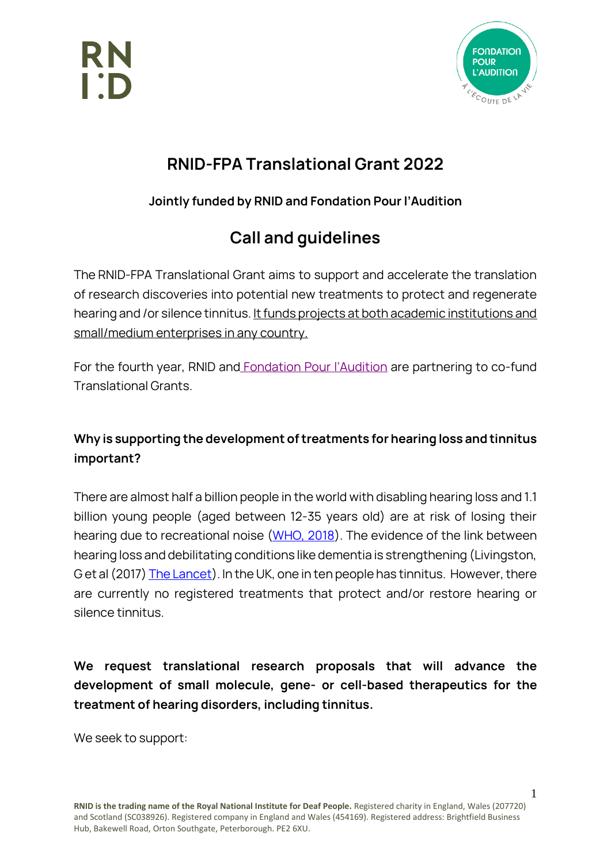



### **RNID-FPA Translational Grant 2022**

### **Jointly funded by RNID and Fondation Pour l'Audition**

## **Call and guidelines**

The RNID-FPA Translational Grant aims to support and accelerate the translation of research discoveries into potential new treatments to protect and regenerate hearing and /or silence tinnitus. It funds projects at both academic institutions and small/medium enterprises in any country.

For the fourth year, RNID and [Fondation Pour](https://www.fondationpourlaudition.org/our-foundation-and-research-missions-779-en) l'Audition are partnering to co-fund Translational Grants.

### **Why is supporting the development of treatments for hearing loss and tinnitus important?**

There are almost half a billion people in the world with disabling hearing loss and 1.1 billion young people (aged between 12-35 years old) are at risk of losing their hearing due to recreational noise [\(WHO, 2018\)](https://www.who.int/news-room/fact-sheets/detail/deafness-and-hearing-loss). The evidence of the link between hearing loss and debilitating conditions like dementia is strengthening (Livingston, G et al (2017[\) The Lancet\)](https://www.thelancet.com/commissions/dementia2017). In the UK, one in ten people has tinnitus. However, there are currently no registered treatments that protect and/or restore hearing or silence tinnitus.

**We request translational research proposals that will advance the development of small molecule, gene- or cell-based therapeutics for the treatment of hearing disorders, including tinnitus.** 

We seek to support: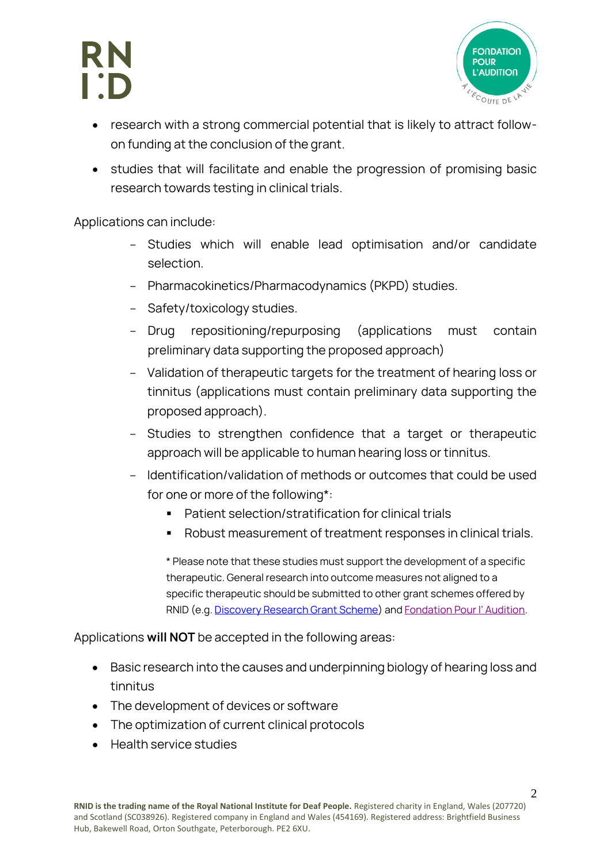# RN



- research with a strong commercial potential that is likely to attract followon funding at the conclusion of the grant.
- studies that will facilitate and enable the progression of promising basic research towards testing in clinical trials.

Applications can include:

- Studies which will enable lead optimisation and/or candidate selection.
- Pharmacokinetics/Pharmacodynamics (PKPD) studies.
- Safety/toxicology studies.
- Drug repositioning/repurposing (applications must contain preliminary data supporting the proposed approach)
- Validation of therapeutic targets for the treatment of hearing loss or tinnitus (applications must contain preliminary data supporting the proposed approach).
- Studies to strengthen confidence that a target or therapeutic approach will be applicable to human hearing loss or tinnitus.
- Identification/validation of methods or outcomes that could be used for one or more of the following\*:
	- Patient selection/stratification for clinical trials
	- Robust measurement of treatment responses in clinical trials.

\* Please note that these studies must support the development of a specific therapeutic. General research into outcome measures not aligned to a specific therapeutic should be submitted to other grant schemes offered by RNID (e.g. [Discovery Research Grant Scheme\)](https://rnid.org.uk/hearing-research/im-a-researcher-looking-for-funding/discovery-research-grant/) and [Fondation Pour l' Audition](https://www.fondationpourlaudition.org/call-for-proposals-laboratories-783-en).

Applications **will NOT** be accepted in the following areas:

- Basic research into the causes and underpinning biology of hearing loss and tinnitus
- The development of devices or software
- The optimization of current clinical protocols
- Health service studies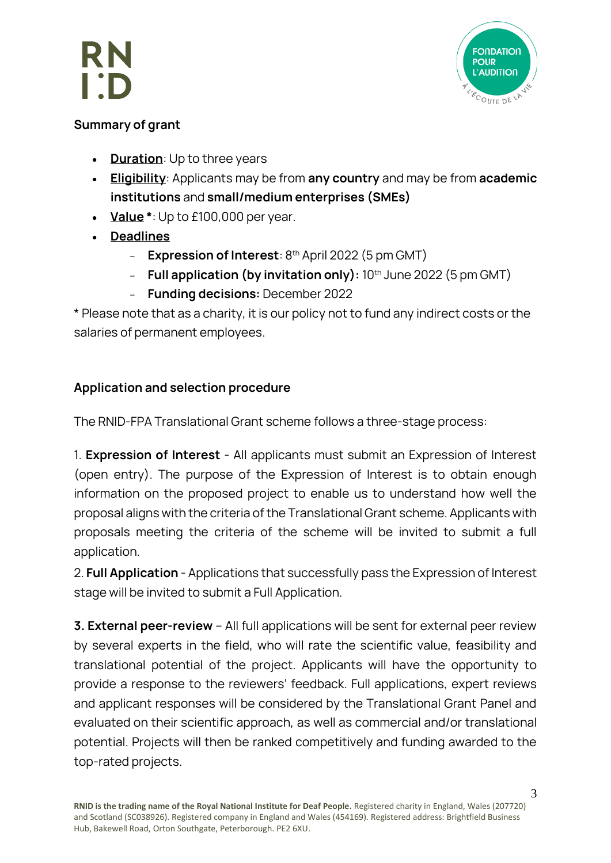



#### **Summary of grant**

- **Duration**: Up to three years
- **Eligibility**: Applicants may be from **any country** and may be from **academic institutions** and **small/medium enterprises (SMEs)**
- **Value \***: Up to £100,000 per year.
- **Deadlines** 
	- **Expression of Interest**: 8<sup>th</sup> April 2022 (5 pm GMT)
	- **Full application (by invitation only):** 10<sup>th</sup> June 2022 (5 pm GMT)
	- **Funding decisions:** December 2022

\* Please note that as a charity, it is our policy not to fund any indirect costs or the salaries of permanent employees.

### **Application and selection procedure**

The RNID-FPA Translational Grant scheme follows a three-stage process:

1. **Expression of Interest** - All applicants must submit an Expression of Interest (open entry). The purpose of the Expression of Interest is to obtain enough information on the proposed project to enable us to understand how well the proposal aligns with the criteria of the Translational Grant scheme. Applicants with proposals meeting the criteria of the scheme will be invited to submit a full application.

2. **Full Application** - Applications that successfully pass the Expression of Interest stage will be invited to submit a Full Application.

**3. External peer-review** – All full applications will be sent for external peer review by several experts in the field, who will rate the scientific value, feasibility and translational potential of the project. Applicants will have the opportunity to provide a response to the reviewers' feedback. Full applications, expert reviews and applicant responses will be considered by the Translational Grant Panel and evaluated on their scientific approach, as well as commercial and/or translational potential. Projects will then be ranked competitively and funding awarded to the top-rated projects.